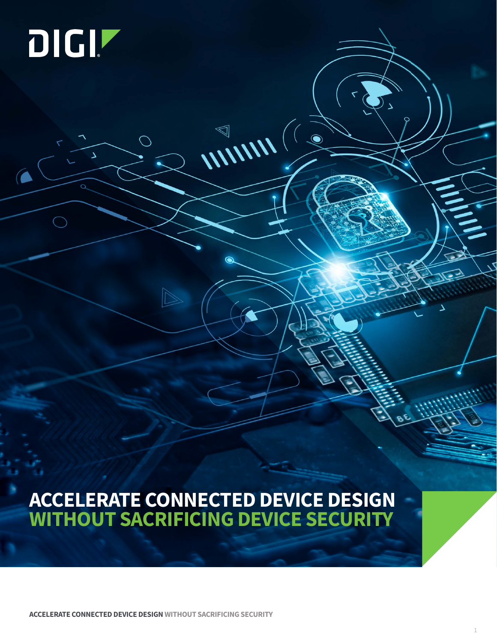# DIGIT

 $\Delta$ 

 $\subset$ 

 $\bigcirc$ 

## **ACCELERATE CONNECTED DEVICE DESIGN WITHOUT SACRIFICING DEVICE SECURITY**

WINN(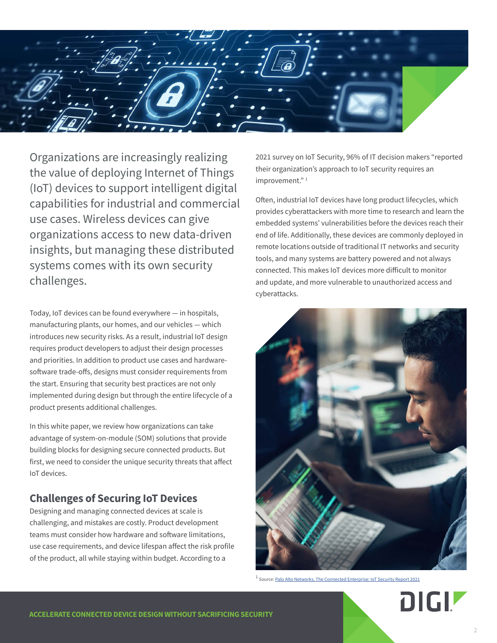

Organizations are increasingly realizing the value of deploying Internet of Things (IoT) devices to support intelligent digital capabilities for industrial and commercial use cases. Wireless devices can give organizations access to new data-driven insights, but managing these distributed systems comes with its own security challenges.

Today, IoT devices can be found everywhere — in hospitals, manufacturing plants, our homes, and our vehicles — which introduces new security risks. As a result, industrial IoT design requires product developers to adjust their design processes and priorities. In addition to product use cases and hardwaresoftware trade-offs, designs must consider requirements from the start. Ensuring that security best practices are not only implemented during design but through the entire lifecycle of a product presents additional challenges.

In this white paper, we review how organizations can take advantage of system-on-module (SOM) solutions that provide building blocks for designing secure connected products. But first, we need to consider the unique security threats that affect IoT devices.

#### **Challenges of Securing IoT Devices**

Designing and managing connected devices at scale is challenging, and mistakes are costly. Product development teams must consider how hardware and software limitations, use case requirements, and device lifespan affect the risk profile of the product, all while staying within budget. According to a

2021 survey on IoT Security, 96% of IT decision makers "reported their organization's approach to IoT security requires an improvement."<sup>1</sup>

Often, industrial IoT devices have long product lifecycles, which provides cyberattackers with more time to research and learn the embedded systems' vulnerabilities before the devices reach their end of life. Additionally, these devices are commonly deployed in remote locations outside of traditional IT networks and security tools, and many systems are battery powered and not always connected. This makes IoT devices more difficult to monitor and update, and more vulnerable to unauthorized access and cyberattacks.



 $1$  Source: [Palo Alto Networks, The Connected Enterprise: IoT Security Report 2021](https://www.paloaltonetworks.com/apps/pan/public/downloadResource?pagePath=/content/pan/en_US/resources/research/connected-enterprise-iot-security-report-2021)

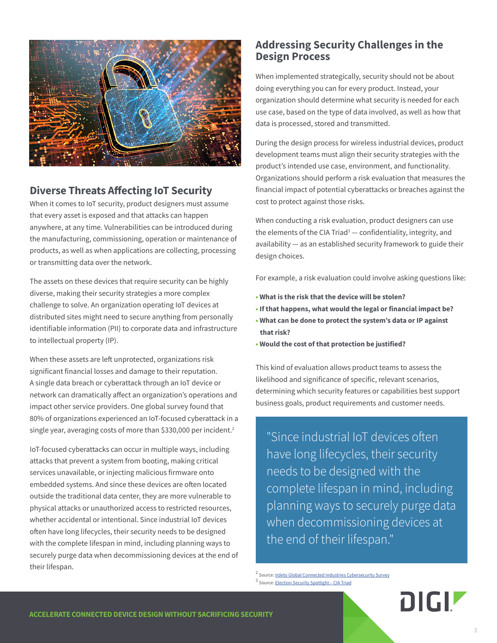

#### **Diverse Threats Affecting IoT Security**

When it comes to IoT security, product designers must assume that every asset is exposed and that attacks can happen anywhere, at any time. Vulnerabilities can be introduced during the manufacturing, commissioning, operation or maintenance of products, as well as when applications are collecting, processing or transmitting data over the network.

The assets on these devices that require security can be highly diverse, making their security strategies a more complex challenge to solve. An organization operating IoT devices at distributed sites might need to secure anything from personally identifiable information (PII) to corporate data and infrastructure to intellectual property (IP).

When these assets are left unprotected, organizations risk significant financial losses and damage to their reputation. A single data breach or cyberattack through an IoT device or network can dramatically affect an organization's operations and impact other service providers. One global survey found that 80% of organizations experienced an IoT-focused cyberattack in a single year, averaging costs of more than \$330,000 per incident.<sup>2</sup>

IoT-focused cyberattacks can occur in multiple ways, including attacks that prevent a system from booting, making critical services unavailable, or injecting malicious firmware onto embedded systems. And since these devices are often located outside the traditional data center, they are more vulnerable to physical attacks or unauthorized access to restricted resources, whether accidental or intentional. Since industrial IoT devices often have long lifecycles, their security needs to be designed with the complete lifespan in mind, including planning ways to securely purge data when decommissioning devices at the end of their lifespan.

#### **Addressing Security Challenges in the Design Process**

When implemented strategically, security should not be about doing everything you can for every product. Instead, your organization should determine what security is needed for each use case, based on the type of data involved, as well as how that data is processed, stored and transmitted.

During the design process for wireless industrial devices, product development teams must align their security strategies with the product's intended use case, environment, and functionality. Organizations should perform a risk evaluation that measures the financial impact of potential cyberattacks or breaches against the cost to protect against those risks.

When conducting a risk evaluation, product designers can use the elements of the CIA Triad<sup>3</sup> — confidentiality, integrity, and availability — as an established security framework to guide their design choices.

For example, a risk evaluation could involve asking questions like:

- **What is the risk that the device will be stolen?**
- **If that happens, what would the legal or financial impact be?**
- **What can be done to protect the system's data or IP against that risk?**
- **Would the cost of that protection be justified?**

This kind of evaluation allows product teams to assess the likelihood and significance of specific, relevant scenarios, determining which security features or capabilities best support business goals, product requirements and customer needs.

"Since industrial IoT devices often have long lifecycles, their security needs to be designed with the complete lifespan in mind, including planning ways to securely purge data when decommissioning devices at the end of their lifespan."

<sup>&</sup>lt;sup>2</sup> Source: [Irdeto Global Connected Industries Cybersecurity Survey](https://irdeto.com/news/new-2019-global-survey-iot-focused-cyberattacks-are-the-new-normal/) 3 Source: [Election Security Spotlight – CIA Triad](https://www.cisecurity.org/insights/spotlight/ei-isac-cybersecurity-spotlight-cia-triad.)

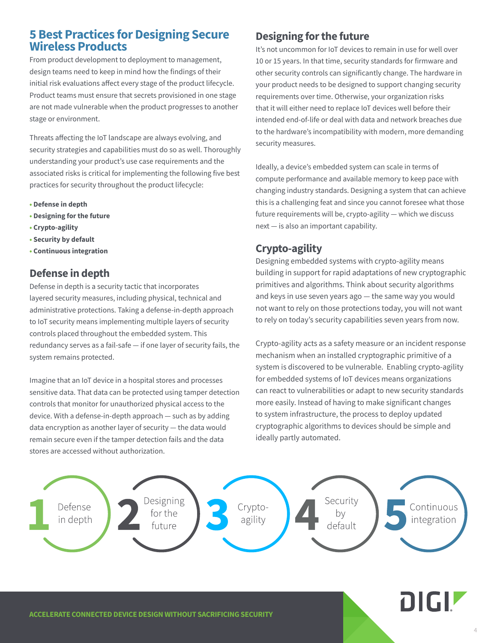#### **5 Best Practices for Designing Secure Wireless Products**

From product development to deployment to management, design teams need to keep in mind how the findings of their initial risk evaluations affect every stage of the product lifecycle. Product teams must ensure that secrets provisioned in one stage are not made vulnerable when the product progresses to another stage or environment.

Threats affecting the IoT landscape are always evolving, and security strategies and capabilities must do so as well. Thoroughly understanding your product's use case requirements and the associated risks is critical for implementing the following five best practices for security throughout the product lifecycle:

- **Defense in depth**
- **Designing for the future**
- **Crypto-agility**
- **Security by default**
- **Continuous integration**

#### **Defense in depth**

Defense in depth is a security tactic that incorporates layered security measures, including physical, technical and administrative protections. Taking a defense-in-depth approach to IoT security means implementing multiple layers of security controls placed throughout the embedded system. This redundancy serves as a fail-safe — if one layer of security fails, the system remains protected.

Imagine that an IoT device in a hospital stores and processes sensitive data. That data can be protected using tamper detection controls that monitor for unauthorized physical access to the device. With a defense-in-depth approach — such as by adding data encryption as another layer of security — the data would remain secure even if the tamper detection fails and the data stores are accessed without authorization.

#### **Designing for the future**

It's not uncommon for IoT devices to remain in use for well over 10 or 15 years. In that time, security standards for firmware and other security controls can significantly change. The hardware in your product needs to be designed to support changing security requirements over time. Otherwise, your organization risks that it will either need to replace IoT devices well before their intended end-of-life or deal with data and network breaches due to the hardware's incompatibility with modern, more demanding security measures.

Ideally, a device's embedded system can scale in terms of compute performance and available memory to keep pace with changing industry standards. Designing a system that can achieve this is a challenging feat and since you cannot foresee what those future requirements will be, crypto-agility — which we discuss next — is also an important capability.

#### **Crypto-agility**

Designing embedded systems with crypto-agility means building in support for rapid adaptations of new cryptographic primitives and algorithms. Think about security algorithms and keys in use seven years ago — the same way you would not want to rely on those protections today, you will not want to rely on today's security capabilities seven years from now.

Crypto-agility acts as a safety measure or an incident response mechanism when an installed cryptographic primitive of a system is discovered to be vulnerable. Enabling crypto-agility for embedded systems of IoT devices means organizations can react to vulnerabilities or adapt to new security standards more easily. Instead of having to make significant changes to system infrastructure, the process to deploy updated cryptographic algorithms to devices should be simple and ideally partly automated.

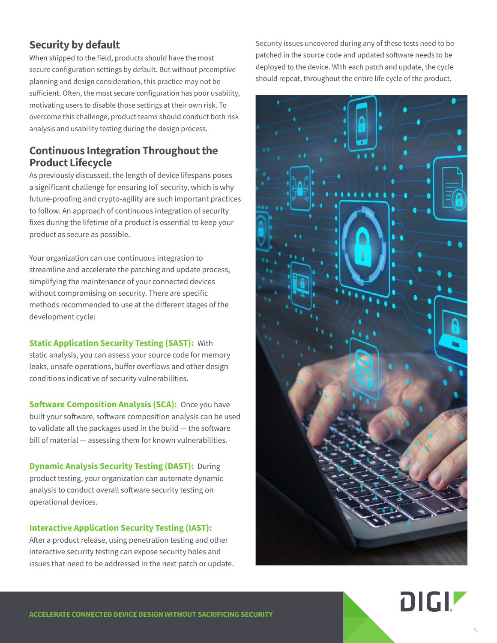#### **Security by default**

When shipped to the field, products should have the most secure configuration settings by default. But without preemptive planning and design consideration, this practice may not be sufficient. Often, the most secure configuration has poor usability, motivating users to disable those settings at their own risk. To overcome this challenge, product teams should conduct both risk analysis and usability testing during the design process.

#### **Continuous Integration Throughout the Product Lifecycle**

As previously discussed, the length of device lifespans poses a significant challenge for ensuring IoT security, which is why future-proofing and crypto-agility are such important practices to follow. An approach of continuous integration of security fixes during the lifetime of a product is essential to keep your product as secure as possible.

Your organization can use continuous integration to streamline and accelerate the patching and update process, simplifying the maintenance of your connected devices without compromising on security. There are specific methods recommended to use at the different stages of the development cycle:

**Static Application Security Testing (SAST):** With static analysis, you can assess your source code for memory leaks, unsafe operations, buffer overflows and other design conditions indicative of security vulnerabilities.

**Software Composition Analysis (SCA):** Once you have built your software, software composition analysis can be used to validate all the packages used in the build — the software bill of material — assessing them for known vulnerabilities.

**Dynamic Analysis Security Testing (DAST):** During product testing, your organization can automate dynamic analysis to conduct overall software security testing on operational devices.

#### **Interactive Application Security Testing (IAST):**

After a product release, using penetration testing and other interactive security testing can expose security holes and issues that need to be addressed in the next patch or update. Security issues uncovered during any of these tests need to be patched in the source code and updated software needs to be deployed to the device. With each patch and update, the cycle should repeat, throughout the entire life cycle of the product.



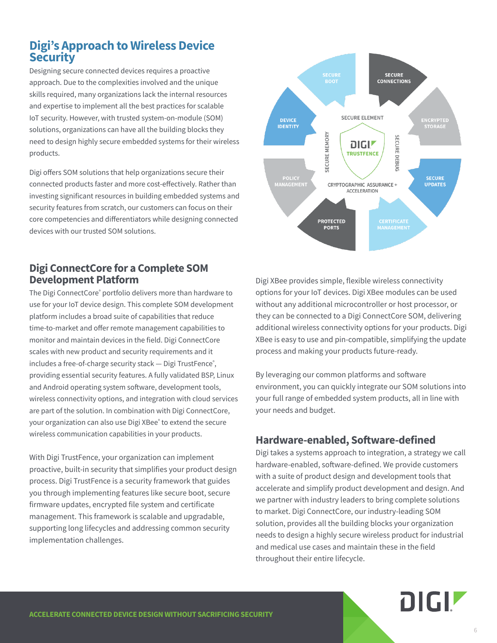#### **Digi's Approach to Wireless Device Security**

Designing secure connected devices requires a proactive approach. Due to the complexities involved and the unique skills required, many organizations lack the internal resources and expertise to implement all the best practices for scalable IoT security. However, with trusted system-on-module (SOM) solutions, organizations can have all the building blocks they need to design highly secure embedded systems for their wireless products.

Digi offers SOM solutions that help organizations secure their connected products faster and more cost-effectively. Rather than investing significant resources in building embedded systems and security features from scratch, our customers can focus on their core competencies and differentiators while designing connected devices with our trusted SOM solutions.

#### **Digi ConnectCore for a Complete SOM Development Platform**

The Digi ConnectCore® portfolio delivers more than hardware to use for your IoT device design. This complete SOM development platform includes a broad suite of capabilities that reduce time-to-market and offer remote management capabilities to monitor and maintain devices in the field. Digi ConnectCore scales with new product and security requirements and it includes a free-of-charge security stack — Digi TrustFence<sup>®</sup>, providing essential security features. A fully validated BSP, Linux and Android operating system software, development tools, wireless connectivity options, and integration with cloud services are part of the solution. In combination with Digi ConnectCore, your organization can also use Digi XBee® to extend the secure wireless communication capabilities in your products.

With Digi TrustFence, your organization can implement proactive, built-in security that simplifies your product design process. Digi TrustFence is a security framework that guides you through implementing features like secure boot, secure firmware updates, encrypted file system and certificate management. This framework is scalable and upgradable, supporting long lifecycles and addressing common security implementation challenges.



Digi XBee provides simple, flexible wireless connectivity options for your IoT devices. Digi XBee modules can be used without any additional microcontroller or host processor, or they can be connected to a Digi ConnectCore SOM, delivering additional wireless connectivity options for your products. Digi XBee is easy to use and pin-compatible, simplifying the update process and making your products future-ready.

By leveraging our common platforms and software environment, you can quickly integrate our SOM solutions into your full range of embedded system products, all in line with your needs and budget.

#### **Hardware-enabled, Software-defined**

Digi takes a systems approach to integration, a strategy we call hardware-enabled, software-defined. We provide customers with a suite of product design and development tools that accelerate and simplify product development and design. And we partner with industry leaders to bring complete solutions to market. Digi ConnectCore, our industry-leading SOM solution, provides all the building blocks your organization needs to design a highly secure wireless product for industrial and medical use cases and maintain these in the field throughout their entire lifecycle.